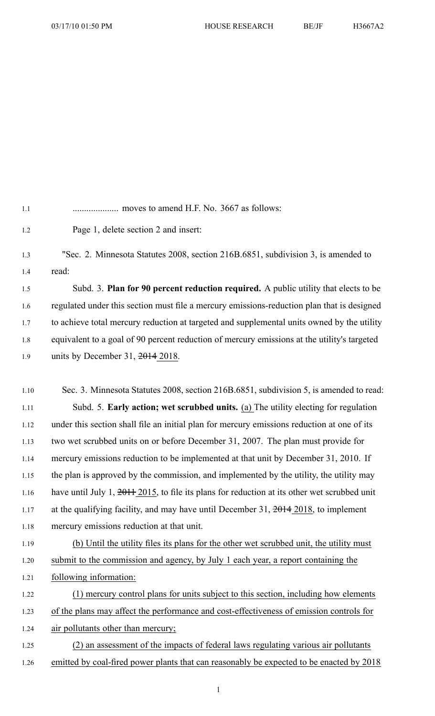| 1.1  |                                                                                                     |
|------|-----------------------------------------------------------------------------------------------------|
| 1.2  | Page 1, delete section 2 and insert:                                                                |
| 1.3  | "Sec. 2. Minnesota Statutes 2008, section 216B.6851, subdivision 3, is amended to                   |
| 1.4  | read:                                                                                               |
| 1.5  | Subd. 3. Plan for 90 percent reduction required. A public utility that elects to be                 |
| 1.6  | regulated under this section must file a mercury emissions-reduction plan that is designed          |
| 1.7  | to achieve total mercury reduction at targeted and supplemental units owned by the utility          |
| 1.8  | equivalent to a goal of 90 percent reduction of mercury emissions at the utility's targeted         |
| 1.9  | units by December 31, $2014$ 2018.                                                                  |
|      |                                                                                                     |
| 1.10 | Sec. 3. Minnesota Statutes 2008, section 216B.6851, subdivision 5, is amended to read:              |
| 1.11 | Subd. 5. Early action; wet scrubbed units. (a) The utility electing for regulation                  |
| 1.12 | under this section shall file an initial plan for mercury emissions reduction at one of its         |
| 1.13 | two wet scrubbed units on or before December 31, 2007. The plan must provide for                    |
| 1.14 | mercury emissions reduction to be implemented at that unit by December 31, 2010. If                 |
| 1.15 | the plan is approved by the commission, and implemented by the utility, the utility may             |
| 1.16 | have until July 1, $2011$ , $2015$ , to file its plans for reduction at its other wet scrubbed unit |
| 1.17 | at the qualifying facility, and may have until December 31, $\frac{2014}{2018}$ , to implement      |
| 1.18 | mercury emissions reduction at that unit.                                                           |
| 1.19 | (b) Until the utility files its plans for the other wet scrubbed unit, the utility must             |
| 1.20 | submit to the commission and agency, by July 1 each year, a report containing the                   |
| 1.21 | following information:                                                                              |
| 1.22 | (1) mercury control plans for units subject to this section, including how elements                 |
| 1.23 | of the plans may affect the performance and cost-effectiveness of emission controls for             |
| 1.24 | air pollutants other than mercury;                                                                  |
| 1.25 | (2) an assessment of the impacts of federal laws regulating various air pollutants                  |
| 1.26 | emitted by coal-fired power plants that can reasonably be expected to be enacted by 2018            |

1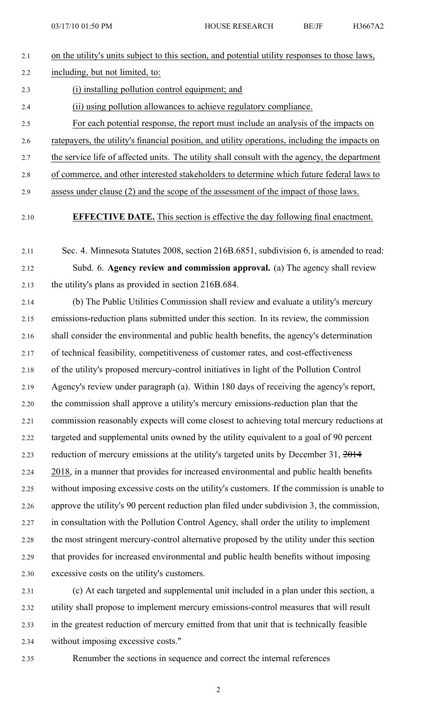| 2.1 | on the utility's units subject to this section, and potential utility responses to those laws,  |
|-----|-------------------------------------------------------------------------------------------------|
| 2.2 | including, but not limited, to:                                                                 |
| 2.3 | (i) installing pollution control equipment; and                                                 |
| 2.4 | (ii) using pollution allowances to achieve regulatory compliance.                               |
| 2.5 | For each potential response, the report must include an analysis of the impacts on              |
| 2.6 | rate payers, the utility's financial position, and utility operations, including the impacts on |
| 2.7 | the service life of affected units. The utility shall consult with the agency, the department   |
| 2.8 | of commerce, and other interested stakeholders to determine which future federal laws to        |
|     |                                                                                                 |

- 2.9 assess under clause (2) and the scope of the assessment of the impact of those laws.
- 

## 2.10 **EFFECTIVE DATE.** This section is effective the day following final enactment.

- 2.11 Sec. 4. Minnesota Statutes 2008, section 216B.6851, subdivision 6, is amended to read: 2.12 Subd. 6. **Agency review and commission approval.** (a) The agency shall review 2.13 the utility's plans as provided in section 216B.684.
- 2.14 (b) The Public Utilities Commission shall review and evaluate <sup>a</sup> utility's mercury 2.15 emissions-reduction plans submitted under this section. In its review, the commission 2.16 shall consider the environmental and public health benefits, the agency's determination 2.17 of technical feasibility, competitiveness of customer rates, and cost-effectiveness 2.18 of the utility's proposed mercury-control initiatives in light of the Pollution Control 2.19 Agency's review under paragraph (a). Within 180 days of receiving the agency's report, 2.20 the commission shall approve <sup>a</sup> utility's mercury emissions-reduction plan that the 2.21 commission reasonably expects will come closest to achieving total mercury reductions at 2.22 targeted and supplemental units owned by the utility equivalent to <sup>a</sup> goal of 90 percen<sup>t</sup> 2.23 reduction of mercury emissions at the utility's targeted units by December 31, 2014 2.24 2018, in <sup>a</sup> manner that provides for increased environmental and public health benefits 2.25 without imposing excessive costs on the utility's customers. If the commission is unable to 2.26 approve the utility's 90 percen<sup>t</sup> reduction plan filed under subdivision 3, the commission, 2.27 in consultation with the Pollution Control Agency, shall order the utility to implement 2.28 the most stringent mercury-control alternative proposed by the utility under this section 2.29 that provides for increased environmental and public health benefits without imposing 2.30 excessive costs on the utility's customers.
- 2.31 (c) At each targeted and supplemental unit included in <sup>a</sup> plan under this section, <sup>a</sup> 2.32 utility shall propose to implement mercury emissions-control measures that will result 2.33 in the greatest reduction of mercury emitted from that unit that is technically feasible 2.34 without imposing excessive costs."
- 2.35 Renumber the sections in sequence and correct the internal references

2